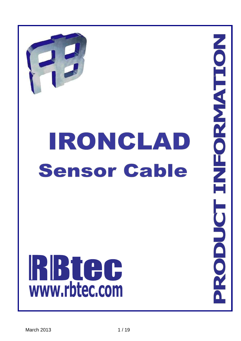

# **IRONCLAD Sensor Cable**

# **RBTCC**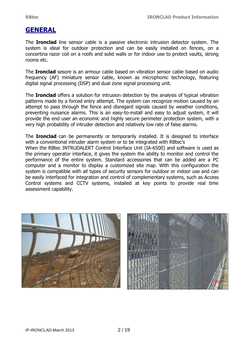# **GENERAL**

The **Ironclad** line sensor cable is a passive electronic intrusion detector system. The system is ideal for outdoor protection and can be easily installed on fences, on a concertina razor coil on a roofs and solid walls or for indoor use to protect vaults, strong rooms etc.

The **Ironclad** sesore is an armour cable based on vibration sensor cable based on audio frequency (AF) miniature sensor cable, known as microphonic technology, featuring digital signal processing (DSP) and dual zone signal processing unit.

The **Ironclad** offers a solution for intrusion detection by the analysis of typical vibration patterns made by a forced entry attempt. The system can recognize motion caused by an attempt to pass through the fence and disregard signals caused by weather conditions, preventing nuisance alarms. This is an easy-to-install and easy to adjust system, it will provide the end user an economic and highly secure perimeter protection system, with a very high probability of intruder detection and relatively low rate of false alarms.

The **Ironclad** can be permanently or temporarily installed. It is designed to interface with a conventional intruder alarm system or to be integrated with RBtec's

When the RBtec INTRUDALERT Control Interface Unit (IA-6500) and software is used as the primary operator interface, it gives the system the ability to monitor and control the performance of the entire system. Standard accessories that can be added are a PC computer and a monitor to display a customized site map. With this configuration the system is compatible with all types of security sensors for outdoor or indoor use and can be easily interfaced for integration and control of complementary systems, such as Access Control systems and CCTV systems, installed at key points to provide real time assessment capability.



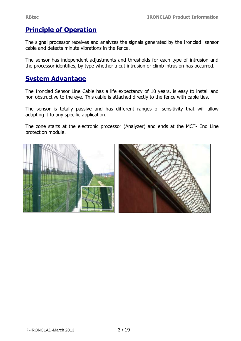# **Principle of Operation**

The signal processor receives and analyzes the signals generated by the Ironclad sensor cable and detects minute vibrations in the fence.

The sensor has independent adjustments and thresholds for each type of intrusion and the processor identifies, by type whether a cut intrusion or climb intrusion has occurred.

# **System Advantage**

The Ironclad Sensor Line Cable has a life expectancy of 10 years, is easy to install and non obstructive to the eye. This cable is attached directly to the fence with cable ties.

The sensor is totally passive and has different ranges of sensitivity that will allow adapting it to any specific application.

The zone starts at the electronic processor (Analyzer) and ends at the MCT- End Line protection module.

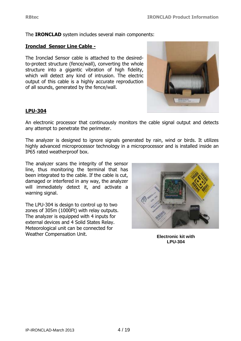The **IRONCLAD** system includes several main components:

#### **Ironclad Sensor Line Cable -**

The Ironclad Sensor cable is attached to the desiredto-protect structure (fence/wall), converting the whole structure into a gigantic vibration of high fidelity, which will detect any kind of intrusion. The electric output of this cable is a highly accurate reproduction of all sounds, generated by the fence/wall.



#### **LPU-304**

An electronic processor that continuously monitors the cable signal output and detects any attempt to penetrate the perimeter.

The analyzer is designed to ignore signals generated by rain, wind or birds. It utilizes highly advanced microprocessor technology in a microprocessor and is installed inside an IP65 rated weatherproof box.

The analyzer scans the integrity of the sensor line, thus monitoring the terminal that has been integrated to the cable. If the cable is cut, damaged or interfered in any way, the analyzer will immediately detect it, and activate a warning signal.

The LPU-304 is design to control up to two zones of 305m (1000Ft) with relay outputs. The analyzer is equipped with 4 inputs for external devices and 4 Solid States Relay. Meteorological unit can be connected for Weather Compensation Unit.



**Electronic kit with LPU-304**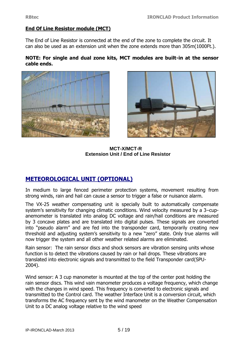#### **End Of Line Resistor module (MCT)**

The End of Line Resistor is connected at the end of the zone to complete the circuit. It can also be used as an extension unit when the zone extends more than 305m(1000Ft.).

#### **NOTE: For single and dual zone kits, MCT modules are built-in at the sensor cable ends.**





**MCT-X/MCT-R Extension Unit / End of Line Resistor**

### **METEOROLOGICAL UNIT (OPTIONAL)**

In medium to large fenced perimeter protection systems, movement resulting from strong winds, rain and hail can cause a sensor to trigger a false or nuisance alarm.

The VX-25 weather compensating unit is specially built to automatically compensate system's sensitivity for changing climatic conditions. Wind velocity measured by a 3–cupanemometer is translated into analog DC voltage and rain/hail conditions are measured by 3 concave plates and are translated into digital pulses. These signals are converted into "pseudo alarm" and are fed into the transponder card, temporarily creating new threshold and adjusting system's sensitivity to a new "zero" state. Only true alarms will now trigger the system and all other weather related alarms are eliminated.

Rain sensor: The rain sensor discs and shock sensors are vibration sensing units whose function is to detect the vibrations caused by rain or hail drops. These vibrations are translated into electronic signals and transmitted to the field Transponder card(SPU-2004).

Wind sensor: A 3 cup manometer is mounted at the top of the center post holding the rain sensor discs. This wind vain manometer produces a voltage frequency, which change with the changes in wind speed. This frequency is converted to electronic signals and transmitted to the Control card. The weather Interface Unit is a conversion circuit, which transforms the AC frequency sent by the wind manometer on the Weather Compensation Unit to a DC analog voltage relative to the wind speed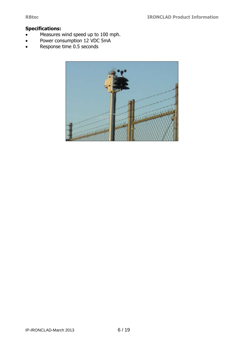#### **Specifications:**

- Measures wind speed up to 100 mph.
- Power consumption 12 VDC 5mA
- Response time 0.5 seconds

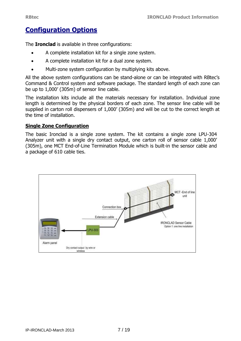# **Configuration Options**

The **Ironclad** is available in three configurations:

- A complete installation kit for a single zone system.
- A complete installation kit for a dual zone system.
- Multi-zone system configuration by multiplying kits above.

All the above system configurations can be stand-alone or can be integrated with RBtec's Command & Control system and software package. The standard length of each zone can be up to 1,000' (305m) of sensor line cable.

The installation kits include all the materials necessary for installation. Individual zone length is determined by the physical borders of each zone. The sensor line cable will be supplied in carton roll dispensers of 1,000' (305m) and will be cut to the correct length at the time of installation.

#### **Single Zone Configuration**

The basic Ironclad is a single zone system. The kit contains a single zone LPU-304 Analyzer unit with a single dry contact output, one carton roll of sensor cable 1,000' (305m), one MCT End-of-Line Termination Module which is built-in the sensor cable and a package of 610 cable ties.

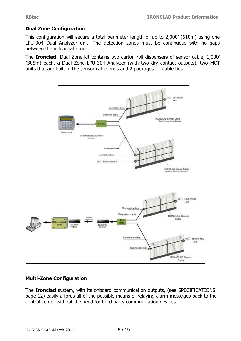#### **Dual Zone Configuration**

This configuration will secure a total perimeter length of up to 2,000' (610m) using one LPU-304 Dual Analyzer unit. The detection zones must be continuous with no gaps between the individual zones.

The **Ironclad** Dual Zone kit contains two carton roll dispensers of sensor cable, 1,000' (305m) each, a Dual Zone LPU-304 Analyzer (with two dry contact outputs), two MCT units that are built-in the sensor cable ends and 2 packages of cable ties.





#### **Multi-Zone Configuration**

The **Ironclad** system, with its onboard communication outputs, (see SPECIFICATIONS, page 12) easily affords all of the possible means of relaying alarm messages back to the control center without the need for third party communication devices.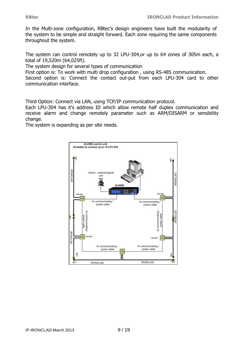In the Multi-zone configuration, RBtec's design engineers have built the modularity of the system to be simple and straight forward. Each zone requiring the same components throughout the system.

The system can control remotely up to 32 LPU-304,or up to 64 zones of 305m each, a total of 19,520m (64,025ft).

The system design for several types of communication

First option is: To work with multi drop configuration , using RS-485 communication.

Second option is: Connect the contact out-put from each LPU-304 card to other communication interface.

Third Option: Connect via LAN, using TCP/IP communication protocol.

Each LPU-304 has it's address ID which allow remote half duplex communication and receive alarm and change remotely parameter such as ARM/DISARM or sensibility change.

The system is expanding as per site needs.

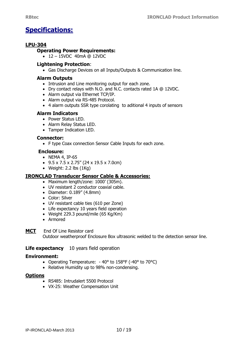# **Specifications:**

#### **LPU-304**

#### **Operating Power Requirements:**

 $\bullet$  12 – 15VDC 40mA @ 12VDC

#### **Lightening Protection**:

Gas Discharge Devices on all Inputs/Outputs & Communication line.

#### **Alarm Outputs**

- Intrusion and Line monitoring output for each zone.
- Dry contact relays with N.O. and N.C. contacts rated 1A @ 12VDC.
- Alarm output via Ethernet TCP/IP.
- Alarm output via RS-485 Protocol.
- 4 alarm outputs SSR type corolating to aditional 4 inputs of sensors

#### **Alarm Indicators**

- Power Status LED.
- Alarm Relay Status LED.
- Tamper Indication LED.

#### **Connector:**

F type Coax connection Sensor Cable Inputs for each zone.

#### **Enclosure:**

- NEMA 4, IP-65
- $\bullet$  9.5 x 7.5 x 2.75" (24 x 19.5 x 7.0cm)
- Weight:  $2.2$  lbs  $(1Kq)$

#### **IRONCLAD Transducer Sensor Cable & Accessories:**

- Maximum length/zone: 1000' (305m).
- UV resistant 2 conductor coaxial cable.
- Diameter: 0.189" (4.8mm)
- Color: Silver
- UV resistant cable ties (610 per Zone)
- Life expectancy 10 years field operation
- Weight 229.3 pound/mile (65 Kg/Km)
- Armored

**MCT** End Of Line Resistor card Outdoor weatherproof Enclosure Box ultrasonic welded to the detection sensor line.

#### **Life expectancy** 10 years field operation

#### **Environment:**

- Operating Temperature: 40° to 158°F (-40° to 70°C)
- Relative Humidity up to 98% non-condensing.

#### **Options**

- RS485: Intrudalert 5500 Protocol
- VX-25: Weather Compensation Unit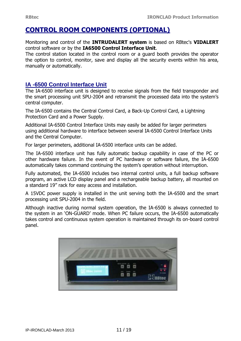# **CONTROL ROOM COMPONENTS (OPTIONAL)**

Monitoring and control of the **INTRUDALERT system** is based on RBtec's **VIDALERT**  control software or by the **IA6500 Control Interface Unit**.

The control station located in the control room or a guard booth provides the operator the option to control, monitor, save and display all the security events within his area, manually or automatically.

#### **IA -6500 Control Interface Unit**

The IA-6500 interface unit is designed to receive signals from the field transponder and the smart processing unit SPU-2004 and retransmit the processed data into the system's central computer.

The IA-6500 contains the Central Control Card, a Back-Up Control Card, a Lightning Protection Card and a Power Supply.

Additional IA-6500 Control Interface Units may easily be added for larger perimeters using additional hardware to interface between several IA-6500 Control Interface Units and the Central Computer.

For larger perimeters, additional IA-6500 interface units can be added.

The IA-6500 interface unit has fully automatic backup capability in case of the PC or other hardware failure. In the event of PC hardware or software failure, the IA-6500 automatically takes command continuing the system's operation without interruption.

Fully automated, the IA-6500 includes two internal control units, a full backup software program, an active LCD display panel and a rechargeable backup battery, all mounted on a standard 19" rack for easy access and installation.

A 15VDC power supply is installed in the unit serving both the IA-6500 and the smart processing unit SPU-2004 in the field.

Although inactive during normal system operation, the IA-6500 is always connected to the system in an 'ON-GUARD' mode. When PC failure occurs, the IA-6500 automatically takes control and continuous system operation is maintained through its on-board control panel.

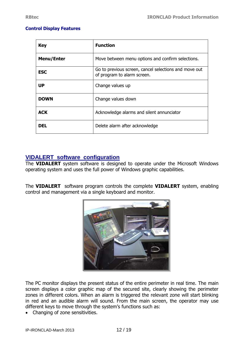#### **Control Display Features**

| <b>Key</b>        | <b>Function</b>                                                                      |
|-------------------|--------------------------------------------------------------------------------------|
| <b>Menu/Enter</b> | Move between menu options and confirm selections.                                    |
| <b>ESC</b>        | Go to previous screen, cancel selections and move out<br>of program to alarm screen. |
| <b>UP</b>         | Change values up                                                                     |
| DOWN              | Change values down                                                                   |
| <b>ACK</b>        | Acknowledge alarms and silent annunciator                                            |
| DEL               | Delete alarm after acknowledge                                                       |

#### **VIDALERT software configuration**

The **VIDALERT** system software is designed to operate under the Microsoft Windows operating system and uses the full power of Windows graphic capabilities.

The **VIDALERT** software program controls the complete **VIDALERT** system, enabling control and management via a single keyboard and monitor.



The PC monitor displays the present status of the entire perimeter in real time. The main screen displays a color graphic map of the secured site, clearly showing the perimeter zones in different colors. When an alarm is triggered the relevant zone will start blinking in red and an audible alarm will sound. From the main screen, the operator may use different keys to move through the system's functions such as:

• Changing of zone sensitivities.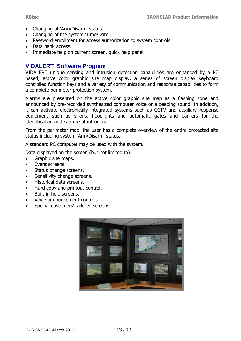- Changing of 'Arm/Disarm' status.
- Changing of the system 'Time/Date'.
- Password enrollment for access authorization to system controls.
- Data bank access.
- Immediate help on current screen, quick help panel.

#### **VIDALERT Software Program**

VIDALERT unique sensing and intrusion detection capabilities are enhanced by a PC based, active color graphic site map display, a series of screen display keyboard controlled function keys and a variety of communication and response capabilities to form a complete perimeter protection system.

Alarms are presented on the active color graphic site map as a flashing zone and announced by pre-recorded synthesized computer voice or a beeping sound. In addition, it can activate electronically integrated systems such as CCTV and auxiliary response equipment such as sirens, floodlights and automatic gates and barriers for the identification and capture of intruders.

From the perimeter map, the user has a complete overview of the entire protected site status including system 'Arm/Disarm' status.

A standard PC computer may be used with the system.

Data displayed on the screen (but not limited to):

- Graphic site maps.
- Event screens.
- Status change screens.
- Sensitivity change screens.
- Historical data screens.
- Hard copy and printout control.
- Built-in help screens.
- Voice announcement controls.
- Special customers' tailored screens.

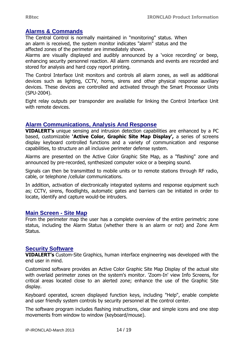#### **Alarms & Commands**

The Central Control is normally maintained in "monitoring" status. When an alarm is received, the system monitor indicates "alarm" status and the affected zones of the perimeter are immediately shown.

Alarms are visually displayed and audibly announced by a 'voice recording' or beep, enhancing security personnel reaction. All alarm commands and events are recorded and stored for analysis and hard copy report printing.

The Control Interface Unit monitors and controls all alarm zones, as well as additional devices such as lighting, CCTV, horns, sirens and other physical response auxiliary devices. These devices are controlled and activated through the Smart Processor Units (SPU-2004).

Eight relay outputs per transponder are available for linking the Control Interface Unit with remote devices.

#### **Alarm Communications, Analysis And Response**

**VIDALERT's** unique sensing and intrusion detection capabilities are enhanced by a PC based, customizable **'Active Color, Graphic Site Map Display',** a series of screens display keyboard controlled functions and a variety of communication and response capabilities, to structure an all inclusive perimeter defense system.

Alarms are presented on the Active Color Graphic Site Map, as a "flashing" zone and announced by pre-recorded, synthesized computer voice or a beeping sound.

Signals can then be transmitted to mobile units or to remote stations through RF radio, cable, or telephone /cellular communications.

In addition, activation of electronically integrated systems and response equipment such as; CCTV, sirens, floodlights, automatic gates and barriers can be initiated in order to locate, identify and capture would-be intruders.

#### **Main Screen - Site Map**

From the perimeter map the user has a complete overview of the entire perimetric zone status, including the Alarm Status (whether there is an alarm or not) and Zone Arm Status.

#### **Security Software**

**VIDALERT's** Custom-Site Graphics, human interface engineering was developed with the end user in mind.

Customized software provides an Active Color Graphic Site Map Display of the actual site with overlaid perimeter zones on the system's monitor. 'Zoom-In' view Info Screens, for critical areas located close to an alerted zone; enhance the use of the Graphic Site display.

Keyboard operated, screen displayed function keys, including "Help", enable complete and user friendly system controls by security personnel at the control center.

The software program includes flashing instructions, clear and simple icons and one step movements from window to window (keyboard/mouse).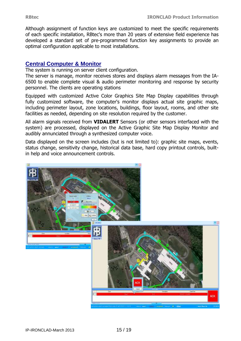Although assignment of function keys are customized to meet the specific requirements of each specific installation, RBtec's more than 20 years of extensive field experience has developed a standard set of pre-programmed function key assignments to provide an optimal configuration applicable to most installations.

#### **Central Computer & Monitor**

The system is running on server client configuration.

The server is manage, monitor receives stores and displays alarm messages from the IA-6500 to enable complete visual & audio perimeter monitoring and response by security personnel. The clients are operating stations

Equipped with customized Active Color Graphics Site Map Display capabilities through fully customized software, the computer's monitor displays actual site graphic maps, including perimeter layout, zone locations, buildings, floor layout, rooms, and other site facilities as needed, depending on site resolution required by the customer.

All alarm signals received from **VIDALERT** Sensors (or other sensors interfaced with the system) are processed, displayed on the Active Graphic Site Map Display Monitor and audibly annunciated through a synthesized computer voice.

Data displayed on the screen includes (but is not limited to): graphic site maps, events, status change, sensitivity change, historical data base, hard copy printout controls, builtin help and voice announcement controls.

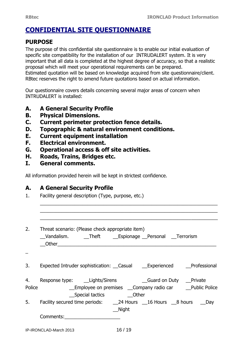# **CONFIDENTIAL SITE QUESTIONNAIRE**

# **PURPOSE**

The purpose of this confidential site questionnaire is to enable our initial evaluation of specific site compatibility for the installation of our INTRUDALERT system. It is very important that all data is completed at the highest degree of accuracy, so that a realistic proposal which will meet your operational requirements can be prepared. Estimated quotation will be based on knowledge acquired from site questionnaire/client. RBtec reserves the right to amend future quotations based on actual information.

Our questionnaire covers details concerning several major areas of concern when INTRUDALERT is installed:

- **A. A General Security Profile**
- **B. Physical Dimensions.**
- **C. Current perimeter protection fence details.**
- **D. Topographic & natural environment conditions.**
- **E. Current equipment installation**
- **F. Electrical environment.**
- **G. Operational access & off site activities.**
- **H. Roads, Trains, Bridges etc.**
- **I. General comments.**

All information provided herein will be kept in strictest confidence.

# **A. A General Security Profile**

1. Facility general description (Type, purpose, etc.)

| 2. | Threat scenario: (Please check appropriate item)<br>Vandalism. Theft Espionage Personal Terrorism                        |
|----|--------------------------------------------------------------------------------------------------------------------------|
|    |                                                                                                                          |
| 3. | Expected Intruder sophistication: Casual Changerienced Professional                                                      |
| 4. | Police _________________Employee on premises ___Company radio car _____Public Police<br>__Special tactics _________Other |
|    | 5. Facility secured time periods: 24 Hours 16 Hours 28 hours 2Day<br>__Night                                             |
|    | Comments:________________________                                                                                        |
|    |                                                                                                                          |

\_\_\_\_\_\_\_\_\_\_\_\_\_\_\_\_\_\_\_\_\_\_\_\_\_\_\_\_\_\_\_\_\_\_\_\_\_\_\_\_\_\_\_\_\_\_\_\_\_\_\_\_\_\_\_\_\_\_\_\_\_\_\_\_\_\_\_ \_\_\_\_\_\_\_\_\_\_\_\_\_\_\_\_\_\_\_\_\_\_\_\_\_\_\_\_\_\_\_\_\_\_\_\_\_\_\_\_\_\_\_\_\_\_\_\_\_\_\_\_\_\_\_\_\_\_\_\_\_\_\_\_\_\_\_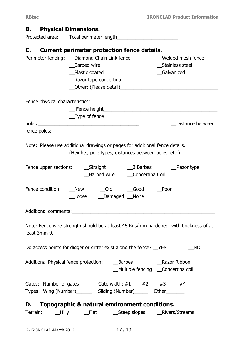# **B. Physical Dimensions.**

Protected area: Total perimeter length\_\_\_\_\_\_\_\_\_\_\_\_\_\_\_\_\_\_\_\_\_\_\_

# **C. Current perimeter protection fence details.**

| Perimeter fencing: _ Diamond Chain Link fence                                                               |                                      |                           |                                                      | Welded mesh fence                                                                     |
|-------------------------------------------------------------------------------------------------------------|--------------------------------------|---------------------------|------------------------------------------------------|---------------------------------------------------------------------------------------|
|                                                                                                             | <b>Barbed wire</b><br>Plastic coated |                           |                                                      | __Stainless steel<br><b>Galvanized</b>                                                |
|                                                                                                             | _Razor tape concertina               |                           |                                                      |                                                                                       |
|                                                                                                             |                                      |                           |                                                      |                                                                                       |
|                                                                                                             |                                      |                           |                                                      |                                                                                       |
| Fence physical characteristics:                                                                             |                                      |                           |                                                      |                                                                                       |
|                                                                                                             |                                      |                           |                                                      |                                                                                       |
|                                                                                                             | _Type of fence                       |                           |                                                      |                                                                                       |
|                                                                                                             |                                      |                           |                                                      | Distance between                                                                      |
|                                                                                                             |                                      |                           |                                                      |                                                                                       |
|                                                                                                             |                                      |                           |                                                      |                                                                                       |
| Note: Please use additional drawings or pages for additional fence details.                                 |                                      |                           |                                                      |                                                                                       |
|                                                                                                             |                                      |                           | (Heights, pole types, distances between poles, etc.) |                                                                                       |
|                                                                                                             |                                      |                           |                                                      |                                                                                       |
|                                                                                                             |                                      |                           | Barbed wire Concertina Coil                          | Razor type                                                                            |
|                                                                                                             |                                      |                           |                                                      |                                                                                       |
| Fence condition:                                                                                            | New Old Good                         |                           |                                                      | Poor                                                                                  |
|                                                                                                             |                                      | Loose ____Damaged ___None |                                                      |                                                                                       |
|                                                                                                             |                                      |                           |                                                      |                                                                                       |
| Additional comments: Additional comments:                                                                   |                                      |                           |                                                      |                                                                                       |
|                                                                                                             |                                      |                           |                                                      |                                                                                       |
|                                                                                                             |                                      |                           |                                                      | Note: Fence wire strength should be at least 45 Kgs/mm hardened, with thickness of at |
| least 3mm 0.                                                                                                |                                      |                           |                                                      |                                                                                       |
|                                                                                                             |                                      |                           |                                                      |                                                                                       |
| Do access points for digger or slitter exist along the fence? VES                                           |                                      |                           |                                                      | <b>NO</b>                                                                             |
|                                                                                                             |                                      |                           |                                                      |                                                                                       |
|                                                                                                             |                                      |                           |                                                      |                                                                                       |
|                                                                                                             |                                      |                           |                                                      | _Multiple fencing __Concertina coil                                                   |
| Gates: Number of gates_______________________Gate width: $\#1$ ______ $\#2$ _____ $\#3$ ______ $\#4$ ______ |                                      |                           |                                                      |                                                                                       |
| Types: Wing (Number)_________ Sliding (Number)________ Other________                                        |                                      |                           |                                                      |                                                                                       |
|                                                                                                             |                                      |                           |                                                      |                                                                                       |
| D. Topographic & natural environment conditions.                                                            |                                      |                           |                                                      |                                                                                       |
| Terrain: __Hilly _____Flat _____________Steep slopes _______________Rivers/Streams                          |                                      |                           |                                                      |                                                                                       |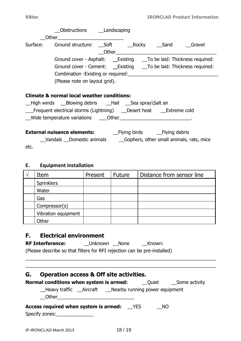|                                                                                                                                                                                                                                                                            | Obstructions ____Landscaping                                                                                                                        |                                                       |         |               |                                                                    |  |  |
|----------------------------------------------------------------------------------------------------------------------------------------------------------------------------------------------------------------------------------------------------------------------------|-----------------------------------------------------------------------------------------------------------------------------------------------------|-------------------------------------------------------|---------|---------------|--------------------------------------------------------------------|--|--|
|                                                                                                                                                                                                                                                                            |                                                                                                                                                     |                                                       |         |               |                                                                    |  |  |
|                                                                                                                                                                                                                                                                            | Surface:                                                                                                                                            |                                                       |         |               | Ground structure: ___ Soft ________ Rocky _____ Sand ______ Gravel |  |  |
|                                                                                                                                                                                                                                                                            | Ground cover - Asphalt: ____Existing _____To be laid: Thickness required:<br>Ground cover - Cement: ___Existing ____To be laid: Thickness required: |                                                       |         |               |                                                                    |  |  |
|                                                                                                                                                                                                                                                                            |                                                                                                                                                     | (Please note on layout grid).                         |         |               |                                                                    |  |  |
|                                                                                                                                                                                                                                                                            |                                                                                                                                                     | <b>Climate &amp; normal local weather conditions:</b> |         |               |                                                                    |  |  |
| __High winds ___Blowing debris ___Hail ___Sea spray\Salt air<br>__Frequent electrical storms (Lightning) ___Desert heat ___Extreme cold<br>_Vandals _Domestic animals _____________Gophers, other small animals, rats, mice<br>etc.<br>E.<br><b>Equipment installation</b> |                                                                                                                                                     |                                                       |         |               |                                                                    |  |  |
| $\sqrt{ }$                                                                                                                                                                                                                                                                 | Item                                                                                                                                                |                                                       | Present | <b>Future</b> | Distance from sensor line                                          |  |  |
|                                                                                                                                                                                                                                                                            | Sprinklers                                                                                                                                          |                                                       |         |               |                                                                    |  |  |
|                                                                                                                                                                                                                                                                            | Water                                                                                                                                               |                                                       |         |               |                                                                    |  |  |
|                                                                                                                                                                                                                                                                            | Gas                                                                                                                                                 |                                                       |         |               |                                                                    |  |  |
|                                                                                                                                                                                                                                                                            | Compressor(s)                                                                                                                                       |                                                       |         |               |                                                                    |  |  |
|                                                                                                                                                                                                                                                                            |                                                                                                                                                     | Vibration equipment                                   |         |               |                                                                    |  |  |

# **F. Electrical environment**

**Other** 

| <b>RF Interference:</b>                                                  | <b>Unknown</b> | None | Known: |
|--------------------------------------------------------------------------|----------------|------|--------|
| (Please describe so that filters for RFI rejection can be pre-installed) |                |      |        |

# **G. Operation access & Off site activities.**

| Normal conditions when system is armed:                                                    | Quiet Some activity |
|--------------------------------------------------------------------------------------------|---------------------|
| __Heavy traffic __Aircraft ___Nearby running power equipment<br>Other <b>Communication</b> |                     |
| <b>Access required when system is armed:</b> PES                                           | NO                  |
| Specify zones:                                                                             |                     |

 $\overline{a_1}$  , and the set of the set of the set of the set of the set of the set of the set of the set of the set of the set of the set of the set of the set of the set of the set of the set of the set of the set of the se  $\overline{a_1}$  , and the set of the set of the set of the set of the set of the set of the set of the set of the set of the set of the set of the set of the set of the set of the set of the set of the set of the set of the se